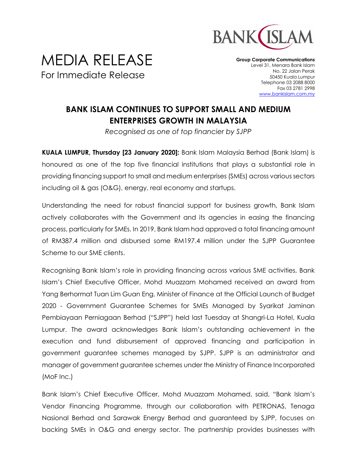

## MEDIA RELEASE For Immediate Release

**Group Corporate Communications** Level 31, Menara Bank Islam No. 22 Jalan Perak 50450 Kuala Lumpur Telephone 03 2088 8000 Fax 03 2781 2998 [www.bankislam.com.my](http://www.bankislam.com.my/)

## **BANK ISLAM CONTINUES TO SUPPORT SMALL AND MEDIUM ENTERPRISES GROWTH IN MALAYSIA**

*Recognised as one of top financier by SJPP*

**KUALA LUMPUR, Thursday [23 January 2020]:** Bank Islam Malaysia Berhad (Bank Islam) is honoured as one of the top five financial institutions that plays a substantial role in providing financing support to small and medium enterprises (SMEs) across various sectors including oil & gas (O&G), energy, real economy and startups.

Understanding the need for robust financial support for business growth, Bank Islam actively collaborates with the Government and its agencies in easing the financing process, particularly for SMEs. In 2019, Bank Islam had approved a total financing amount of RM387.4 million and disbursed some RM197.4 million under the SJPP Guarantee Scheme to our SME clients.

Recognising Bank Islam's role in providing financing across various SME activities, Bank Islam's Chief Executive Officer, Mohd Muazzam Mohamed received an award from Yang Berhormat Tuan Lim Guan Eng, Minister of Finance at the Official Launch of Budget 2020 - Government Guarantee Schemes for SMEs Managed by Syarikat Jaminan Pembiayaan Perniagaan Berhad ("SJPP") held last Tuesday at Shangri-La Hotel, Kuala Lumpur. The award acknowledges Bank Islam's outstanding achievement in the execution and fund disbursement of approved financing and participation in government guarantee schemes managed by SJPP. SJPP is an administrator and manager of government guarantee schemes under the Ministry of Finance Incorporated (MoF Inc.)

Bank Islam's Chief Executive Officer, Mohd Muazzam Mohamed, said, "Bank Islam's Vendor Financing Programme, through our collaboration with PETRONAS, Tenaga Nasional Berhad and Sarawak Energy Berhad and guaranteed by SJPP, focuses on backing SMEs in O&G and energy sector. The partnership provides businesses with